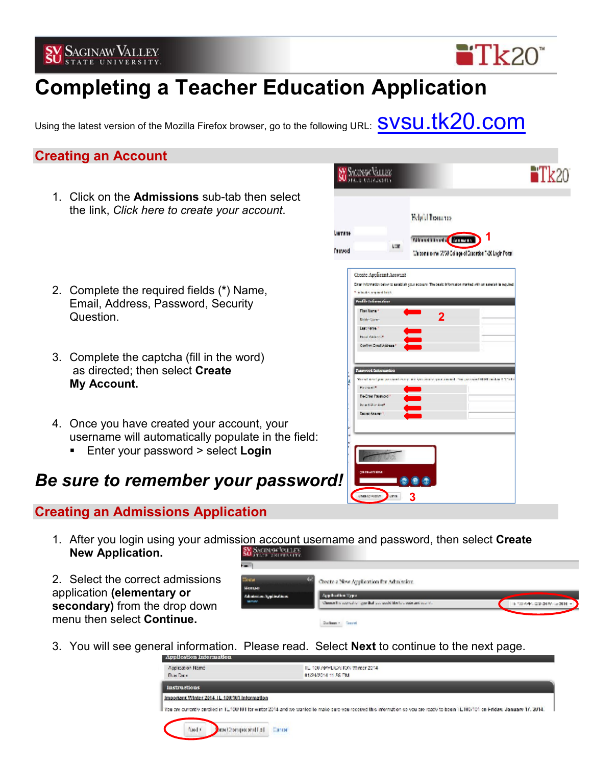

# **Completing a Teacher Education Application**

Using the latest version of the Mozilla Firefox browser, go to the following URL:  $\textbf{S}\textbf{V}\textbf{S}\textbf{u}.t$ 

### **Creating an Account**

1. Click on the **Admissions** sub-tab then select the link, *Click here to create your account*.



 $Tk20$ 

- 2. Complete the required fields (**\***) Name, Email, Address, Password, Security Question. **2**
- 3. Complete the captcha (fill in the word) as directed; then select **Create My Account.**
- 4. Once you have created your account, your username will automatically populate in the field:
	- Enter your password > select **Login**

### *Be sure to remember your password!*

### **Creating an Admissions Application**

1. After you login using your admission account username and password, then select **Create New Application. SY ACINOCALLES** 

2. Select the correct admissions application **(elementary or secondary)** from the drop down menu then select **Continue.** 

| in a                               |                                                                       |                               |  |
|------------------------------------|-----------------------------------------------------------------------|-------------------------------|--|
| <b>Dice</b><br>Mense               | Create a New Application for Admission.                               |                               |  |
| Administrating inclusion<br>senay. | Application Type:                                                     |                               |  |
|                                    | Channel in according specified and cools black to except and coolsti- | E. 100 A/44, CARDINALS 2014 - |  |
|                                    | <b>Duriance - Generi</b>                                              |                               |  |

3. You will see general information. Please read. Select **Next** to continue to the next page.

| Application Information                    |                                                                                                                                                                                  |  |
|--------------------------------------------|----------------------------------------------------------------------------------------------------------------------------------------------------------------------------------|--|
| Application Name<br>Due Date:              | TE 100 APPEICATION Winter 2014.<br>01/24/2014 11:55 PM                                                                                                                           |  |
| <b>Instructions</b>                        |                                                                                                                                                                                  |  |
| mpprtant Winter 2014 IL 10W101 Information |                                                                                                                                                                                  |  |
|                                            | bulare currently enrolled in 1L100/101 for winter 2014 and we wanted to make sure you received this information so you are ready to bogin 1L100/101 on Friday, January 17, 2014. |  |
| <b>To Three sequrect Level</b><br>Nedi     | <b>CATION</b>                                                                                                                                                                    |  |